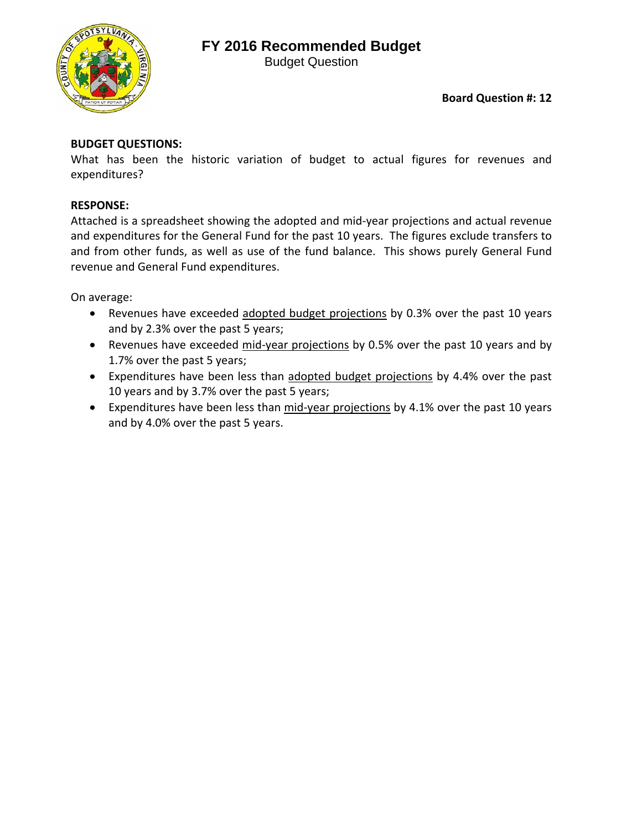## **FY 2016 Recommended Budget**



Budget Question

## **Board Question #: 12**

## **BUDGET QUESTIONS:**

What has been the historic variation of budget to actual figures for revenues and expenditures?

## **RESPONSE:**

Attached is a spreadsheet showing the adopted and mid‐year projections and actual revenue and expenditures for the General Fund for the past 10 years. The figures exclude transfers to and from other funds, as well as use of the fund balance. This shows purely General Fund revenue and General Fund expenditures.

On average:

- Revenues have exceeded adopted budget projections by 0.3% over the past 10 years and by 2.3% over the past 5 years;
- Revenues have exceeded mid-year projections by 0.5% over the past 10 years and by 1.7% over the past 5 years;
- **•** Expenditures have been less than adopted budget projections by 4.4% over the past 10 years and by 3.7% over the past 5 years;
- Expenditures have been less than mid-year projections by 4.1% over the past 10 years and by 4.0% over the past 5 years.